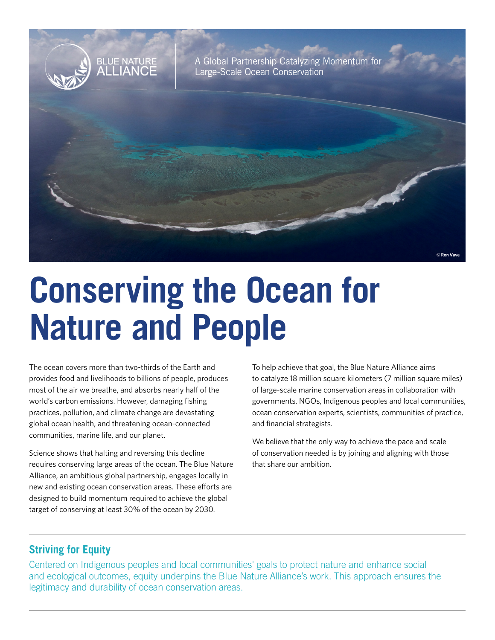

# **Conserving the Ocean for Nature and People**

The ocean covers more than two-thirds of the Earth and provides food and livelihoods to billions of people, produces most of the air we breathe, and absorbs nearly half of the world's carbon emissions. However, damaging fishing practices, pollution, and climate change are devastating global ocean health, and threatening ocean-connected communities, marine life, and our planet.

Science shows that halting and reversing this decline requires conserving large areas of the ocean. The Blue Nature Alliance, an ambitious global partnership, engages locally in new and existing ocean conservation areas. These efforts are designed to build momentum required to achieve the global target of conserving at least 30% of the ocean by 2030.

To help achieve that goal, the Blue Nature Alliance aims to catalyze 18 million square kilometers (7 million square miles) of large-scale marine conservation areas in collaboration with governments, NGOs, Indigenous peoples and local communities, ocean conservation experts, scientists, communities of practice, and financial strategists.

We believe that the only way to achieve the pace and scale of conservation needed is by joining and aligning with those that share our ambition.

## **Striving for Equity**

Centered on Indigenous peoples and local communities' goals to protect nature and enhance social and ecological outcomes, equity underpins the Blue Nature Alliance's work. This approach ensures the legitimacy and durability of ocean conservation areas.